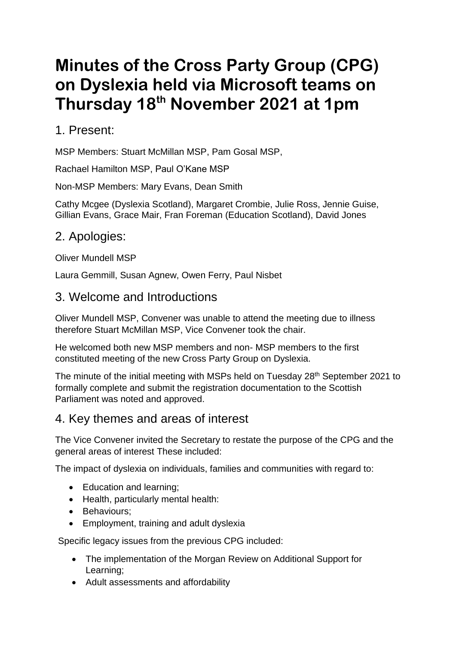# **Minutes of the Cross Party Group (CPG) on Dyslexia held via Microsoft teams on Thursday 18th November 2021 at 1pm**

#### 1. Present:

MSP Members: Stuart McMillan MSP, Pam Gosal MSP,

Rachael Hamilton MSP, Paul O'Kane MSP

Non-MSP Members: Mary Evans, Dean Smith

Cathy Mcgee (Dyslexia Scotland), Margaret Crombie, Julie Ross, Jennie Guise, Gillian Evans, Grace Mair, Fran Foreman (Education Scotland), David Jones

# 2. Apologies:

Oliver Mundell MSP

Laura Gemmill, Susan Agnew, Owen Ferry, Paul Nisbet

#### 3. Welcome and Introductions

Oliver Mundell MSP, Convener was unable to attend the meeting due to illness therefore Stuart McMillan MSP, Vice Convener took the chair.

He welcomed both new MSP members and non- MSP members to the first constituted meeting of the new Cross Party Group on Dyslexia.

The minute of the initial meeting with MSPs held on Tuesday 28<sup>th</sup> September 2021 to formally complete and submit the registration documentation to the Scottish Parliament was noted and approved.

## 4. Key themes and areas of interest

The Vice Convener invited the Secretary to restate the purpose of the CPG and the general areas of interest These included:

The impact of dyslexia on individuals, families and communities with regard to:

- Education and learning;
- Health, particularly mental health:
- Behaviours;
- Employment, training and adult dyslexia

Specific legacy issues from the previous CPG included:

- The implementation of the Morgan Review on Additional Support for Learning;
- Adult assessments and affordability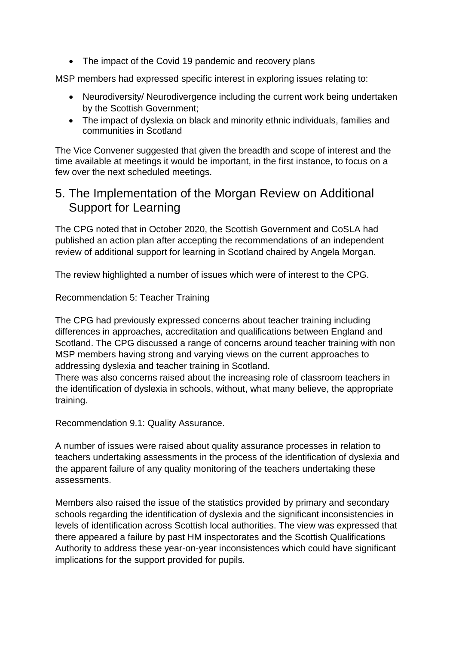• The impact of the Covid 19 pandemic and recovery plans

MSP members had expressed specific interest in exploring issues relating to:

- Neurodiversity/ Neurodivergence including the current work being undertaken by the Scottish Government;
- The impact of dyslexia on black and minority ethnic individuals, families and communities in Scotland

The Vice Convener suggested that given the breadth and scope of interest and the time available at meetings it would be important, in the first instance, to focus on a few over the next scheduled meetings.

#### 5. The Implementation of the Morgan Review on Additional Support for Learning

The CPG noted that in October 2020, the Scottish Government and CoSLA had published an action plan after accepting the recommendations of an independent review of additional support for learning in Scotland chaired by Angela Morgan.

The review highlighted a number of issues which were of interest to the CPG.

Recommendation 5: Teacher Training

The CPG had previously expressed concerns about teacher training including differences in approaches, accreditation and qualifications between England and Scotland. The CPG discussed a range of concerns around teacher training with non MSP members having strong and varying views on the current approaches to addressing dyslexia and teacher training in Scotland.

There was also concerns raised about the increasing role of classroom teachers in the identification of dyslexia in schools, without, what many believe, the appropriate training.

Recommendation 9.1: Quality Assurance.

A number of issues were raised about quality assurance processes in relation to teachers undertaking assessments in the process of the identification of dyslexia and the apparent failure of any quality monitoring of the teachers undertaking these assessments.

Members also raised the issue of the statistics provided by primary and secondary schools regarding the identification of dyslexia and the significant inconsistencies in levels of identification across Scottish local authorities. The view was expressed that there appeared a failure by past HM inspectorates and the Scottish Qualifications Authority to address these year-on-year inconsistences which could have significant implications for the support provided for pupils.